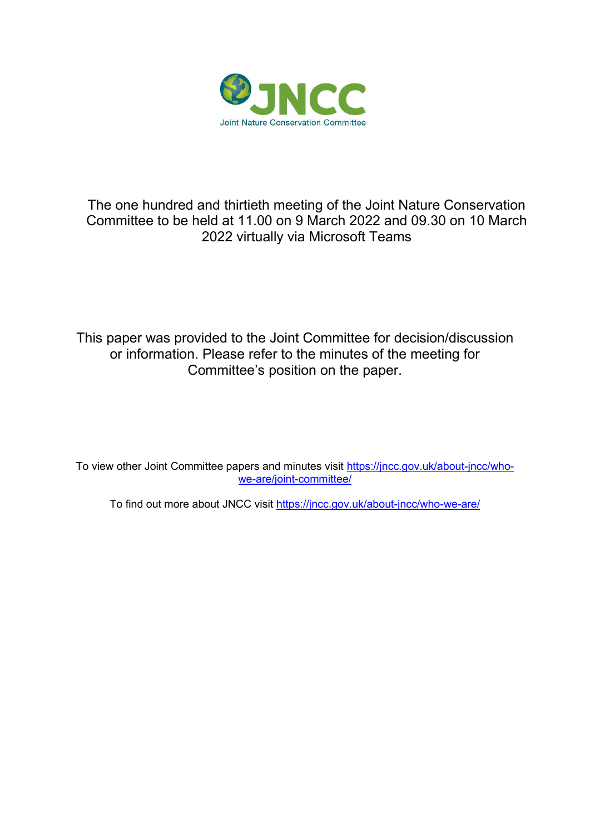

# The one hundred and thirtieth meeting of the Joint Nature Conservation Committee to be held at 11.00 on 9 March 2022 and 09.30 on 10 March 2022 virtually via Microsoft Teams

This paper was provided to the Joint Committee for decision/discussion or information. Please refer to the minutes of the meeting for Committee's position on the paper.

To view other Joint Committee papers and minutes visit [https://jncc.gov.uk/about-jncc/who](https://jncc.gov.uk/about-jncc/who-we-are/joint-committee/)[we-are/joint-committee/](https://jncc.gov.uk/about-jncc/who-we-are/joint-committee/)

To find out more about JNCC visit<https://jncc.gov.uk/about-jncc/who-we-are/>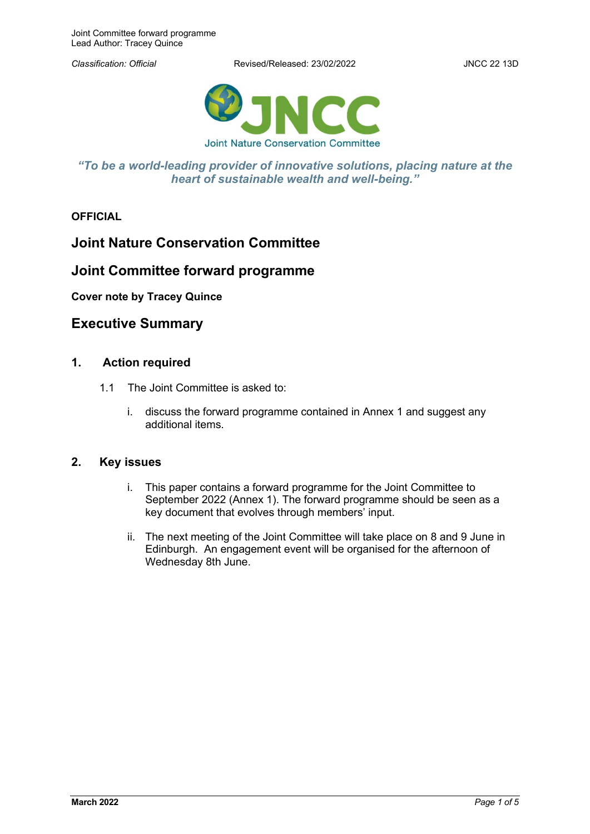*Classification: Official* Revised/Released: 23/02/2022 JNCC 22 13D



### *"To be a world-leading provider of innovative solutions, placing nature at the heart of sustainable wealth and well-being."*

**OFFICIAL**

# **Joint Nature Conservation Committee**

# **Joint Committee forward programme**

#### **Cover note by Tracey Quince**

## **Executive Summary**

### **1. Action required**

- 1.1 The Joint Committee is asked to:
	- i. discuss the forward programme contained in Annex 1 and suggest any additional items.

#### **2. Key issues**

- i. This paper contains a forward programme for the Joint Committee to September 2022 (Annex 1). The forward programme should be seen as a key document that evolves through members' input.
- ii. The next meeting of the Joint Committee will take place on 8 and 9 June in Edinburgh. An engagement event will be organised for the afternoon of Wednesday 8th June.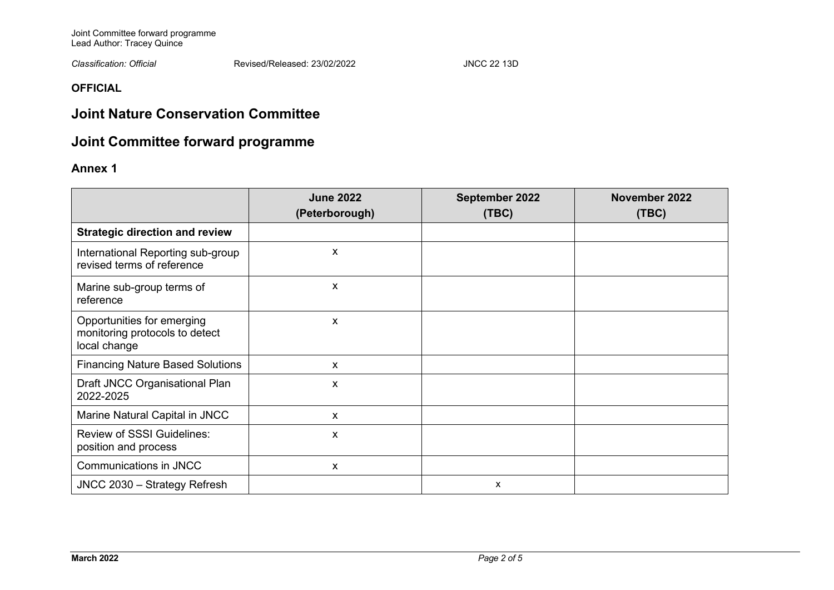Joint Committee forward programme Lead Author: Tracey Quince

*Classification: Official* Revised/Released: 23/02/2022 JNCC 22 13D

**OFFICIAL**

# **Joint Nature Conservation Committee**

# **Joint Committee forward programme**

## **Annex 1**

|                                                                              | <b>June 2022</b><br>(Peterborough) | September 2022<br>(TEC) | November 2022<br>(TEC) |
|------------------------------------------------------------------------------|------------------------------------|-------------------------|------------------------|
| <b>Strategic direction and review</b>                                        |                                    |                         |                        |
| International Reporting sub-group<br>revised terms of reference              | X                                  |                         |                        |
| Marine sub-group terms of<br>reference                                       | X                                  |                         |                        |
| Opportunities for emerging<br>monitoring protocols to detect<br>local change | X                                  |                         |                        |
| <b>Financing Nature Based Solutions</b>                                      | X                                  |                         |                        |
| Draft JNCC Organisational Plan<br>2022-2025                                  | X                                  |                         |                        |
| Marine Natural Capital in JNCC                                               | x                                  |                         |                        |
| <b>Review of SSSI Guidelines:</b><br>position and process                    | X                                  |                         |                        |
| Communications in JNCC                                                       | X                                  |                         |                        |
| JNCC 2030 - Strategy Refresh                                                 |                                    | X                       |                        |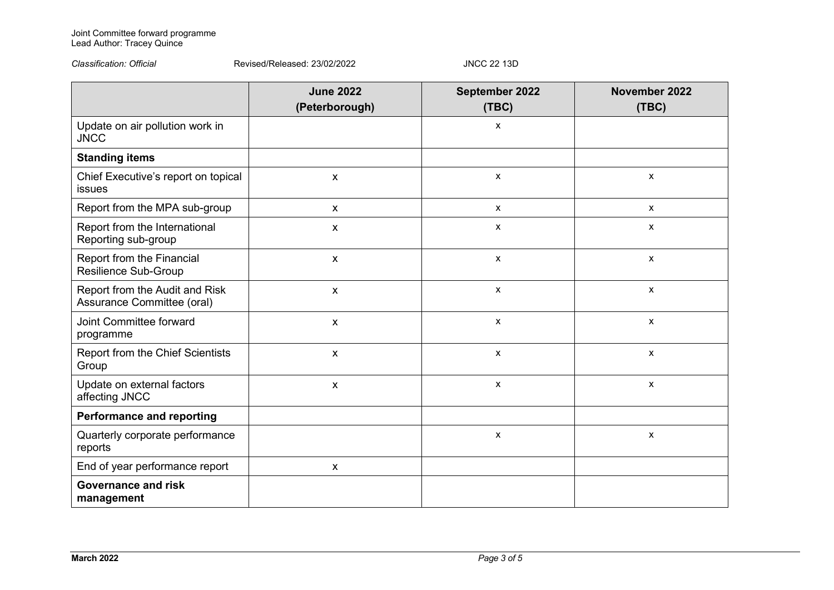#### Joint Committee forward programme Lead Author: Tracey Quince

*Classification: Official* Revised/Released: 23/02/2022 JNCC 22 13D

|                                                              | <b>June 2022</b><br>(Peterborough) | September 2022<br>(TEC) | November 2022<br>(TEC) |
|--------------------------------------------------------------|------------------------------------|-------------------------|------------------------|
| Update on air pollution work in<br><b>JNCC</b>               |                                    | X                       |                        |
| <b>Standing items</b>                                        |                                    |                         |                        |
| Chief Executive's report on topical<br>issues                | $\pmb{\mathsf{X}}$                 | X                       | $\pmb{\mathsf{X}}$     |
| Report from the MPA sub-group                                | X                                  | X                       | $\mathsf{x}$           |
| Report from the International<br>Reporting sub-group         | $\pmb{\mathsf{X}}$                 | X                       | $\mathsf{x}$           |
| Report from the Financial<br>Resilience Sub-Group            | X                                  | X                       | $\mathsf{x}$           |
| Report from the Audit and Risk<br>Assurance Committee (oral) | $\mathsf{X}$                       | X                       | $\pmb{\mathsf{X}}$     |
| Joint Committee forward<br>programme                         | X                                  | X                       | $\mathsf{x}$           |
| Report from the Chief Scientists<br>Group                    | $\pmb{\mathsf{X}}$                 | $\mathsf{x}$            | $\pmb{\mathsf{X}}$     |
| Update on external factors<br>affecting JNCC                 | X                                  | X                       | $\pmb{\mathsf{X}}$     |
| <b>Performance and reporting</b>                             |                                    |                         |                        |
| Quarterly corporate performance<br>reports                   |                                    | X                       | $\pmb{\chi}$           |
| End of year performance report                               | $\pmb{\mathsf{X}}$                 |                         |                        |
| <b>Governance and risk</b><br>management                     |                                    |                         |                        |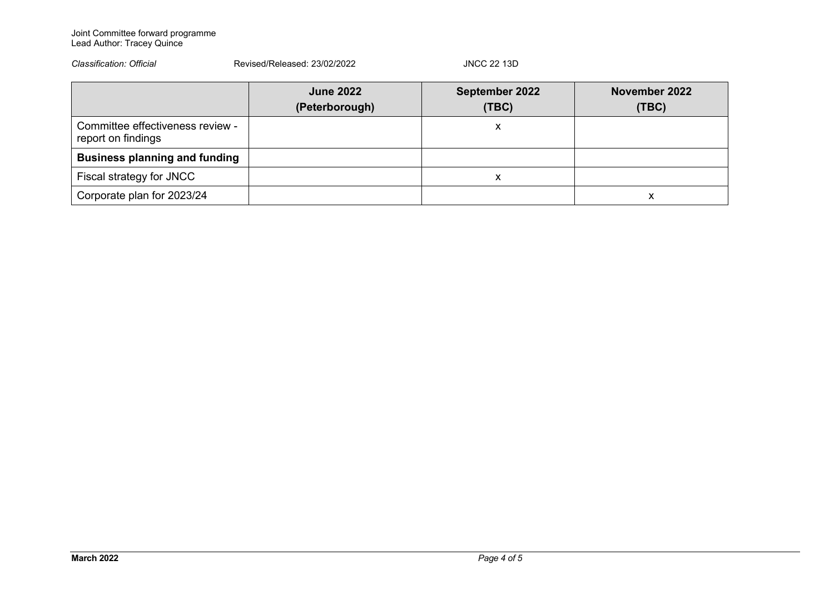#### Joint Committee forward programme Lead Author: Tracey Quince

| Classification: Official                               | Revised/Released: 23/02/2022       | <b>JNCC 22 13D</b>      |                        |
|--------------------------------------------------------|------------------------------------|-------------------------|------------------------|
|                                                        | <b>June 2022</b><br>(Peterborough) | September 2022<br>(TEC) | November 2022<br>(TEC) |
| Committee effectiveness review -<br>report on findings |                                    | X                       |                        |
| <b>Business planning and funding</b>                   |                                    |                         |                        |
| Fiscal strategy for JNCC                               |                                    | x                       |                        |
| Corporate plan for 2023/24                             |                                    |                         | х                      |